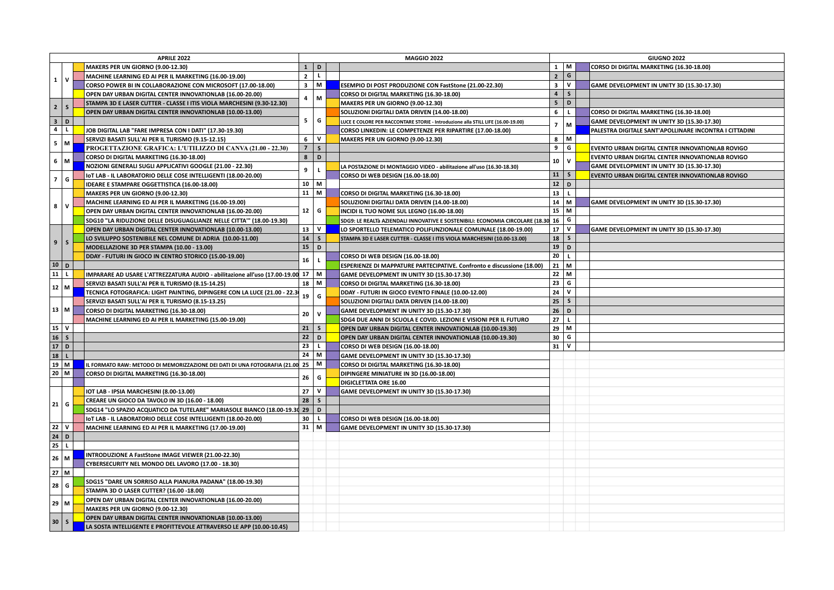|                | APRILE 2022  |                                                                                                  |                |              |  | <b>MAGGIO 2022</b>                                                               | <b>GIUGNO 2022</b>      |              |  |                                                        |
|----------------|--------------|--------------------------------------------------------------------------------------------------|----------------|--------------|--|----------------------------------------------------------------------------------|-------------------------|--------------|--|--------------------------------------------------------|
|                |              | MAKERS PER UN GIORNO (9.00-12.30)                                                                | $\mathbf{1}$   | $\mathsf D$  |  |                                                                                  |                         | $1 \mid M$   |  | CORSO DI DIGITAL MARKETING (16.30-18.00)               |
|                |              | MACHINE LEARNING ED AI PER IL MARKETING (16.00-19.00)                                            | $\overline{2}$ | $\mathsf L$  |  |                                                                                  |                         | 2 G          |  |                                                        |
| $\mathbf{1}$   | $\mathsf{v}$ | CORSO POWER BI IN COLLABORAZIONE CON MICROSOFT (17.00-18.00)                                     | 3 <sup>1</sup> | M            |  | ESEMPIO DI POST PRODUZIONE CON FastStone (21.00-22.30)                           | $\overline{\mathbf{3}}$ | v            |  | GAME DEVELOPMENT IN UNITY 3D (15.30-17.30)             |
|                |              | OPEN DAY URBAN DIGITAL CENTER INNOVATIONLAB (16.00-20.00)                                        |                |              |  | CORSO DI DIGITAL MARKETING (16.30-18.00)                                         | $\overline{\mathbf{4}}$ | $\mathsf{s}$ |  |                                                        |
|                |              | STAMPA 3D E LASER CUTTER - CLASSE I ITIS VIOLA MARCHESINI (9.30-12.30)                           | 4              | M            |  | MAKERS PER UN GIORNO (9.00-12.30)                                                | 5 <sup>2</sup>          | D            |  |                                                        |
| $2^{\circ}$    | S            | OPEN DAY URBAN DIGITAL CENTER INNOVATIONLAB (10.00-13.00)                                        |                |              |  | SOLUZIONI DIGITALI DATA DRIVEN (14.00-18.00)                                     | 6                       | $\mathbf{L}$ |  | CORSO DI DIGITAL MARKETING (16.30-18.00)               |
|                | 3 D          |                                                                                                  | 5              | G            |  | LUCE E COLORE PER RACCONTARE STORIE - Introduzione alla STILL LIFE (16.00-19.00) |                         |              |  | GAME DEVELOPMENT IN UNITY 3D (15.30-17.30)             |
| $\overline{4}$ | L.           | JOB DIGITAL LAB "FARE IMPRESA CON I DATI" (17.30-19.30)                                          |                |              |  | CORSO LINKEDIN: LE COMPETENZE PER RIPARTIRE (17.00-18.00)                        | $\overline{7}$          | M            |  | PALESTRA DIGITALE SANT'APOLLINARE INCONTRA I CITTADINI |
|                |              | SERVIZI BASATI SULL'AI PER IL TURISMO (9.15-12.15)                                               | 6              | $\mathsf{v}$ |  |                                                                                  | 8                       | M            |  |                                                        |
|                | $5$ M        |                                                                                                  | $\overline{7}$ | $\mathsf{s}$ |  | MAKERS PER UN GIORNO (9.00-12.30)                                                | 9                       | G            |  | EVENTO URBAN DIGITAL CENTER INNOVATIONLAB ROVIGO       |
|                |              | PROGETTAZIONE GRAFICA: L'UTILIZZO DI CANVA (21.00 - 22.30)                                       |                |              |  |                                                                                  |                         |              |  |                                                        |
| $\overline{7}$ | $6 \mid M$   | CORSO DI DIGITAL MARKETING (16.30-18.00)                                                         | 8              | $\mathsf D$  |  |                                                                                  | 10                      | $\mathbf{v}$ |  | EVENTO URBAN DIGITAL CENTER INNOVATIONLAB ROVIGO       |
|                |              | NOZIONI GENERALI SUGLI APPLICATIVI GOOGLE (21.00 - 22.30)                                        | 9              | $\mathbf{L}$ |  | LA POSTAZIONE DI MONTAGGIO VIDEO - abilitazione all'uso (16.30-18.30)            |                         |              |  | GAME DEVELOPMENT IN UNITY 3D (15.30-17.30)             |
|                | G            | IOT LAB - IL LABORATORIO DELLE COSE INTELLIGENTI (18.00-20.00)                                   |                |              |  | CORSO DI WEB DESIGN (16.00-18.00)                                                | 11                      | ls.          |  | EVENTO URBAN DIGITAL CENTER INNOVATIONLAB ROVIGO       |
|                |              | IDEARE E STAMPARE OGGETTISTICA (16.00-18.00)                                                     |                | $10 \mid M$  |  |                                                                                  | $12\,$                  | D            |  |                                                        |
|                |              | MAKERS PER UN GIORNO (9.00-12.30)                                                                |                | $11 \mid M$  |  | CORSO DI DIGITAL MARKETING (16.30-18.00)                                         | 13                      | $\mathbf{L}$ |  |                                                        |
| 8              | $\mathbf v$  | MACHINE LEARNING ED AI PER IL MARKETING (16.00-19.00)                                            |                |              |  | SOLUZIONI DIGITALI DATA DRIVEN (14.00-18.00)                                     | 14                      | M            |  | GAME DEVELOPMENT IN UNITY 3D (15.30-17.30)             |
|                |              | OPEN DAY URBAN DIGITAL CENTER INNOVATIONLAB (16.00-20.00)                                        | 12             | G            |  | INCIDI IL TUO NOME SUL LEGNO (16.00-18.00)                                       | 15                      | M            |  |                                                        |
|                |              | SDG10 "LA RIDUZIONE DELLE DISUGUAGLIANZE NELLE CITTA"" (18.00-19.30)                             |                |              |  | SDG9: LE REALTà AZIENDALI INNOVATIVE E SOSTENIBILI: ECONOMIA CIRCOLARE (18.30 16 |                         | G            |  |                                                        |
|                |              | OPEN DAY URBAN DIGITAL CENTER INNOVATIONLAB (10.00-13.00)                                        |                | $13 \mid V$  |  | LO SPORTELLO TELEMATICO POLIFUNZIONALE COMUNALE (18.00-19.00)                    | 17                      | ΙV           |  | GAME DEVELOPMENT IN UNITY 3D (15.30-17.30)             |
| $\overline{9}$ | S            | LO SVILUPPO SOSTENIBILE NEL COMUNE DI ADRIA (10.00-11.00)                                        | 14             | $\mathsf{s}$ |  | STAMPA 3D E LASER CUTTER - CLASSE I ITIS VIOLA MARCHESINI (10.00-13.00)          | 18                      | s            |  |                                                        |
|                |              | MODELLAZIONE 3D PER STAMPA (10.00 - 13.00)                                                       | 15             | D            |  |                                                                                  | 19                      | D            |  |                                                        |
|                |              | DDAY - FUTURI IN GIOCO IN CENTRO STORICO (15.00-19.00)                                           |                |              |  | CORSO DI WEB DESIGN (16.00-18.00)                                                | 20                      | $\mathbf{L}$ |  |                                                        |
|                | $10$ D       |                                                                                                  | 16             | $\mathbf L$  |  | ESPERIENZE DI MAPPATURE PARTECIPATIVE. Confronto e discussione (18.00)           | 21                      | M            |  |                                                        |
|                | $11$ L       | IMPARARE AD USARE L'ATTREZZATURA AUDIO - abilitazione all'uso (17.00-19.00 17   M                |                |              |  | GAME DEVELOPMENT IN UNITY 3D (15.30-17.30)                                       | 22                      | Iм           |  |                                                        |
|                |              | SERVIZI BASATI SULL'AI PER IL TURISMO (8.15-14.25)                                               |                | $18 \mid M$  |  | CORSO DI DIGITAL MARKETING (16.30-18.00)                                         | 23                      | G            |  |                                                        |
|                | $12$ M       | TECNICA FOTOGRAFICA: LIGHT PAINTING, DIPINGERE CON LA LUCE (21.00 - 22.3                         |                |              |  | DDAY - FUTURI IN GIOCO EVENTO FINALE (10.00-12.00)                               | ${\bf 24}$              | v            |  |                                                        |
|                |              | SERVIZI BASATI SULL'AI PER IL TURISMO (8.15-13.25)                                               | 19             | G            |  | SOLUZIONI DIGITALI DATA DRIVEN (14.00-18.00)                                     | 25                      | s            |  |                                                        |
|                | $13 \mid M$  | CORSO DI DIGITAL MARKETING (16.30-18.00)                                                         |                |              |  | GAME DEVELOPMENT IN UNITY 3D (15.30-17.30)                                       | 26                      | D            |  |                                                        |
|                |              | MACHINE LEARNING ED AI PER IL MARKETING (15.00-19.00)                                            | 20             | $\mathsf{v}$ |  | SDG4 DUE ANNI DI SCUOLA E COVID. LEZIONI E VISIONI PER IL FUTURO                 | 27                      | $\mathbf{L}$ |  |                                                        |
|                | 15 V         |                                                                                                  |                | $21 \mid S$  |  | OPEN DAY URBAN DIGITAL CENTER INNOVATIONLAB (10.00-19.30)                        | 29                      | M            |  |                                                        |
|                | $16 \mid S$  |                                                                                                  | 22             | $\mathbf{D}$ |  |                                                                                  |                         | 30   G       |  |                                                        |
|                | $17$ D       |                                                                                                  | 23             | $\mathbf L$  |  | OPEN DAY URBAN DIGITAL CENTER INNOVATIONLAB (10.00-19.30)                        |                         | $31$ V       |  |                                                        |
|                |              |                                                                                                  |                |              |  | CORSO DI WEB DESIGN (16.00-18.00)                                                |                         |              |  |                                                        |
| 18             | $\mathbf{L}$ |                                                                                                  |                | $24 \mid M$  |  | GAME DEVELOPMENT IN UNITY 3D (15.30-17.30)                                       |                         |              |  |                                                        |
|                | $19$ M       | IL FORMATO RAW: METODO DI MEMORIZZAZIONE DEI DATI DI UNA FOTOGRAFIA (21.00 $\,$ 25 $\,$ $\mid$ M |                |              |  | CORSO DI DIGITAL MARKETING (16.30-18.00)                                         |                         |              |  |                                                        |
|                | $20$ M       | CORSO DI DIGITAL MARKETING (16.30-18.00)                                                         | 26             | G            |  | DIPINGERE MINIATURE IN 3D (16.00-18.00)                                          |                         |              |  |                                                        |
|                |              |                                                                                                  |                |              |  | DIGICLETTATA ORE 16.00                                                           |                         |              |  |                                                        |
| 21             |              | IOT LAB - IPSIA MARCHESINI (8.00-13.00)                                                          |                | $27$   V     |  | GAME DEVELOPMENT IN UNITY 3D (15.30-17.30)                                       |                         |              |  |                                                        |
|                | G            | CREARE UN GIOCO DA TAVOLO IN 3D (16.00 - 18.00)                                                  | 28             | $\mathsf{s}$ |  |                                                                                  |                         |              |  |                                                        |
|                |              | SDG14 "LO SPAZIO ACQUATICO DA TUTELARE" MARIASOLE BIANCO (18.00-19.30 29                         |                | D            |  |                                                                                  |                         |              |  |                                                        |
|                |              | IOT LAB - IL LABORATORIO DELLE COSE INTELLIGENTI (18.00-20.00)                                   | 30             | $\mathbf{L}$ |  | CORSO DI WEB DESIGN (16.00-18.00)                                                |                         |              |  |                                                        |
| 22             | ${\bf v}$    | MACHINE LEARNING ED AI PER IL MARKETING (17.00-19.00)                                            |                | $31$ M       |  | GAME DEVELOPMENT IN UNITY 3D (15.30-17.30)                                       |                         |              |  |                                                        |
|                | $24$ D       |                                                                                                  |                |              |  |                                                                                  |                         |              |  |                                                        |
| 25             | $\mathbf L$  |                                                                                                  |                |              |  |                                                                                  |                         |              |  |                                                        |
| 26             | M            | INTRODUZIONE A FastStone IMAGE VIEWER (21.00-22.30)                                              |                |              |  |                                                                                  |                         |              |  |                                                        |
|                |              | CYBERSECURITY NEL MONDO DEL LAVORO (17.00 - 18.30)                                               |                |              |  |                                                                                  |                         |              |  |                                                        |
|                | 27 M         |                                                                                                  |                |              |  |                                                                                  |                         |              |  |                                                        |
|                |              | SDG15 "DARE UN SORRISO ALLA PIANURA PADANA" (18.00-19.30)                                        |                |              |  |                                                                                  |                         |              |  |                                                        |
| 28             | G            | STAMPA 3D O LASER CUTTER? (16.00 -18.00)                                                         |                |              |  |                                                                                  |                         |              |  |                                                        |
|                |              | OPEN DAY URBAN DIGITAL CENTER INNOVATIONLAB (16.00-20.00)                                        |                |              |  |                                                                                  |                         |              |  |                                                        |
| 29             | M            | MAKERS PER UN GIORNO (9.00-12.30)                                                                |                |              |  |                                                                                  |                         |              |  |                                                        |
|                |              | OPEN DAY URBAN DIGITAL CENTER INNOVATIONLAB (10.00-13.00)                                        |                |              |  |                                                                                  |                         |              |  |                                                        |
| 30             | S            | LA SOSTA INTELLIGENTE E PROFITTEVOLE ATTRAVERSO LE APP (10.00-10.45)                             |                |              |  |                                                                                  |                         |              |  |                                                        |
|                |              |                                                                                                  |                |              |  |                                                                                  |                         |              |  |                                                        |